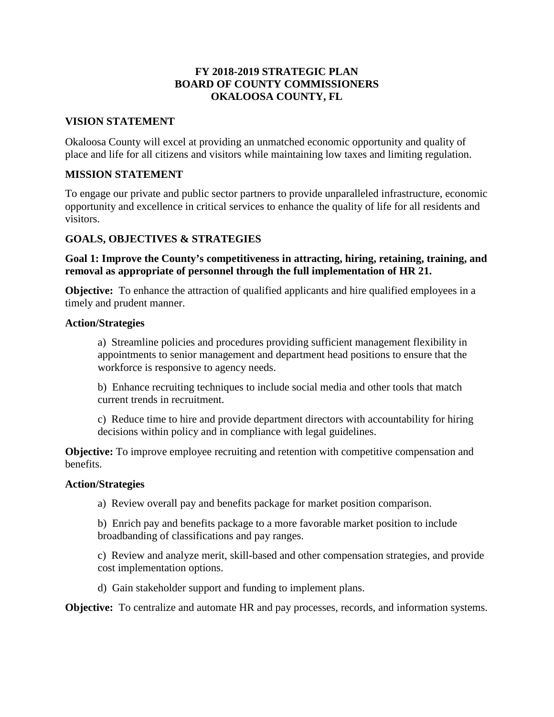### **FY 2018-2019 STRATEGIC PLAN BOARD OF COUNTY COMMISSIONERS OKALOOSA COUNTY, FL**

### **VISION STATEMENT**

Okaloosa County will excel at providing an unmatched economic opportunity and quality of place and life for all citizens and visitors while maintaining low taxes and limiting regulation.

### **MISSION STATEMENT**

To engage our private and public sector partners to provide unparalleled infrastructure, economic opportunity and excellence in critical services to enhance the quality of life for all residents and visitors.

### **GOALS, OBJECTIVES & STRATEGIES**

 **removal as appropriate of personnel through the full implementation of HR 21. Goal 1: Improve the County's competitiveness in attracting, hiring, retaining, training, and** 

 **Objective:** To enhance the attraction of qualified applicants and hire qualified employees in a timely and prudent manner.

### **Action/Strategies**

 a) Streamline policies and procedures providing sufficient management flexibility in appointments to senior management and department head positions to ensure that the workforce is responsive to agency needs.

 b) Enhance recruiting techniques to include social media and other tools that match current trends in recruitment.

 c) Reduce time to hire and provide department directors with accountability for hiring decisions within policy and in compliance with legal guidelines.

**Objective:** To improve employee recruiting and retention with competitive compensation and benefits.

### **Action/Strategies**

 a) Review overall pay and benefits package for market position comparison.

 b) Enrich pay and benefits package to a more favorable market position to include broadbanding of classifications and pay ranges.

 c) Review and analyze merit, skill-based and other compensation strategies, and provide cost implementation options.

d) Gain stakeholder support and funding to implement plans.

**Objective:** To centralize and automate HR and pay processes, records, and information systems.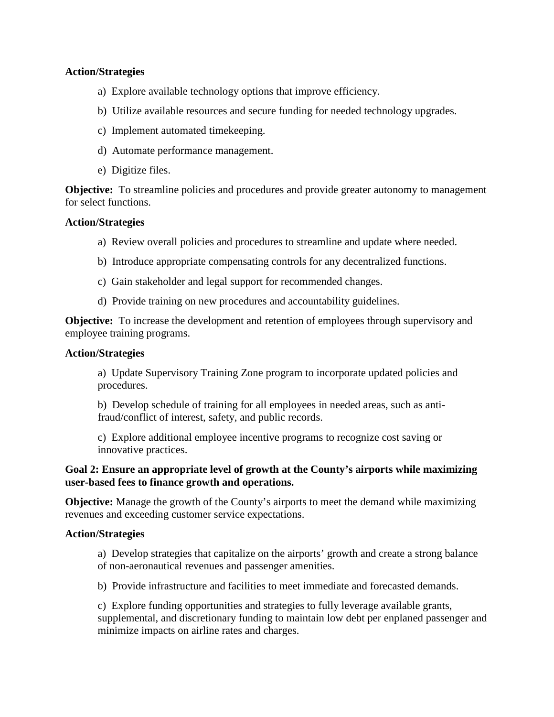### **Action/Strategies**

- a) Explore available technology options that improve efficiency.
- b) Utilize available resources and secure funding for needed technology upgrades.
- c) Implement automated timekeeping.
- d) Automate performance management.
- e) Digitize files.

 **Objective:** To streamline policies and procedures and provide greater autonomy to management for select functions.

### **Action/Strategies**

- a) Review overall policies and procedures to streamline and update where needed.
- b) Introduce appropriate compensating controls for any decentralized functions.
- c) Gain stakeholder and legal support for recommended changes.
- d) Provide training on new procedures and accountability guidelines.

 **Objective:** To increase the development and retention of employees through supervisory and employee training programs.

#### **Action/Strategies**

 a) Update Supervisory Training Zone program to incorporate updated policies and procedures.

 b) Develop schedule of training for all employees in needed areas, such as anti-fraud/conflict of interest, safety, and public records.

 c) Explore additional employee incentive programs to recognize cost saving or innovative practices.

#### **Goal 2: Ensure an appropriate level of growth at the County's airports while maximizing user-based fees to finance growth and operations.**

 **Objective:** Manage the growth of the County's airports to meet the demand while maximizing revenues and exceeding customer service expectations.

#### **Action/Strategies**

 a) Develop strategies that capitalize on the airports' growth and create a strong balance of non-aeronautical revenues and passenger amenities.

b) Provide infrastructure and facilities to meet immediate and forecasted demands.

 c) Explore funding opportunities and strategies to fully leverage available grants, supplemental, and discretionary funding to maintain low debt per enplaned passenger and minimize impacts on airline rates and charges.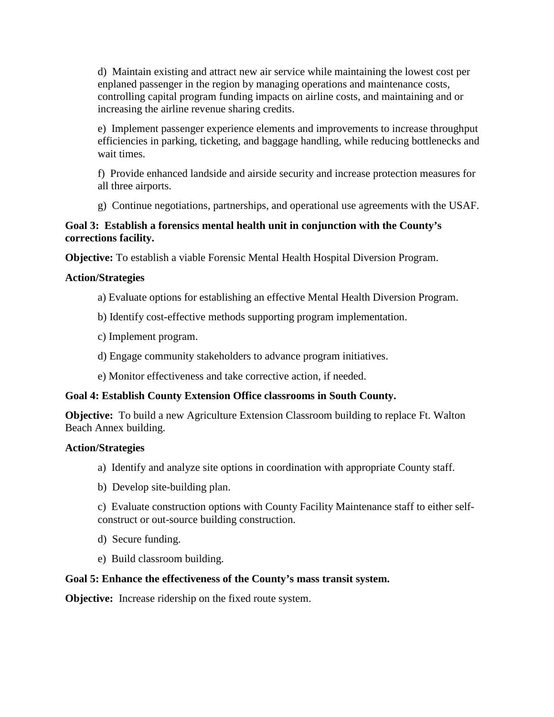d) Maintain existing and attract new air service while maintaining the lowest cost per enplaned passenger in the region by managing operations and maintenance costs, controlling capital program funding impacts on airline costs, and maintaining and or increasing the airline revenue sharing credits.

 e) Implement passenger experience elements and improvements to increase throughput efficiencies in parking, ticketing, and baggage handling, while reducing bottlenecks and wait times.

 f) Provide enhanced landside and airside security and increase protection measures for all three airports.

g) Continue negotiations, partnerships, and operational use agreements with the USAF.

## **Goal 3: Establish a forensics mental health unit in conjunction with the County's corrections facility.**

**Objective:** To establish a viable Forensic Mental Health Hospital Diversion Program.

# **Action/Strategies**

- a) Evaluate options for establishing an effective Mental Health Diversion Program.
- b) Identify cost-effective methods supporting program implementation.
- c) Implement program.
- d) Engage community stakeholders to advance program initiatives.
- e) Monitor effectiveness and take corrective action, if needed.

# **Goal 4: Establish County Extension Office classrooms in South County.**

**Objective:** To build a new Agriculture Extension Classroom building to replace Ft. Walton Beach Annex building.

## **Action/Strategies**

- a) Identify and analyze site options in coordination with appropriate County staff.
- b) Develop site-building plan.

 c) Evaluate construction options with County Facility Maintenance staff to either selfconstruct or out-source building construction.

- d) Secure funding.
- e) Build classroom building.

## **Goal 5: Enhance the effectiveness of the County's mass transit system.**

**Objective:** Increase ridership on the fixed route system.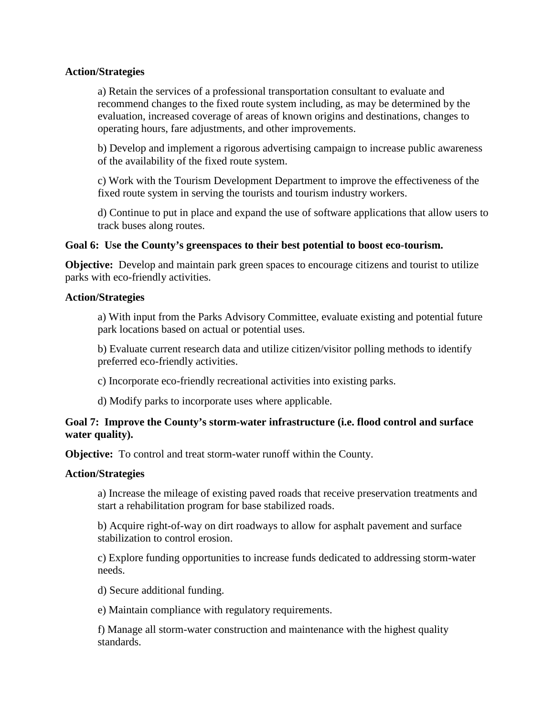#### **Action/Strategies**

a) Retain the services of a professional transportation consultant to evaluate and recommend changes to the fixed route system including, as may be determined by the evaluation, increased coverage of areas of known origins and destinations, changes to operating hours, fare adjustments, and other improvements.

b) Develop and implement a rigorous advertising campaign to increase public awareness of the availability of the fixed route system.

 fixed route system in serving the tourists and tourism industry workers. c) Work with the Tourism Development Department to improve the effectiveness of the

 d) Continue to put in place and expand the use of software applications that allow users to track buses along routes.

### Goal 6: Use the County's greenspaces to their best potential to boost eco-tourism.

 **Objective:** Develop and maintain park green spaces to encourage citizens and tourist to utilize parks with eco-friendly activities.

#### **Action/Strategies**

a) With input from the Parks Advisory Committee, evaluate existing and potential future park locations based on actual or potential uses.

b) Evaluate current research data and utilize citizen/visitor polling methods to identify preferred eco-friendly activities.

c) Incorporate eco-friendly recreational activities into existing parks.

d) Modify parks to incorporate uses where applicable.

### **Goal 7: Improve the County's storm-water infrastructure (i.e. flood control and surface water quality).**

**Objective:** To control and treat storm-water runoff within the County.

#### **Action/Strategies**

a) Increase the mileage of existing paved roads that receive preservation treatments and start a rehabilitation program for base stabilized roads.

b) Acquire right-of-way on dirt roadways to allow for asphalt pavement and surface stabilization to control erosion.

c) Explore funding opportunities to increase funds dedicated to addressing storm-water needs.

d) Secure additional funding.

e) Maintain compliance with regulatory requirements.

f) Manage all storm-water construction and maintenance with the highest quality standards.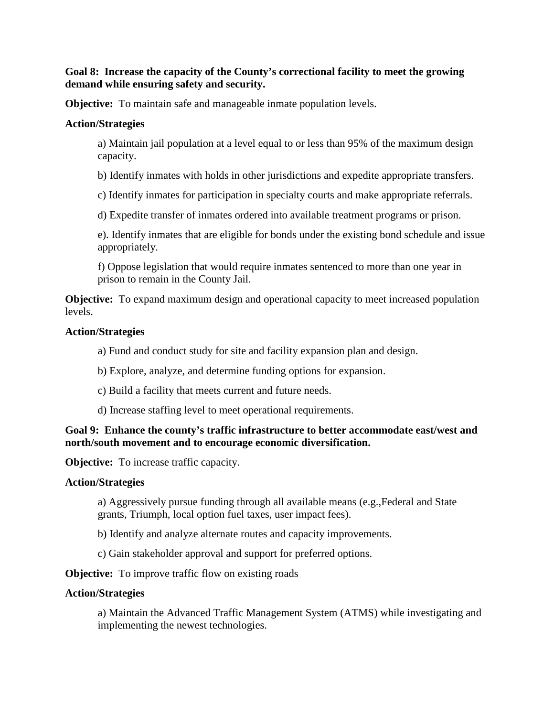### **Goal 8: Increase the capacity of the County's correctional facility to meet the growing demand while ensuring safety and security.**

**Objective:** To maintain safe and manageable inmate population levels.

#### **Action/Strategies**

a) Maintain jail population at a level equal to or less than 95% of the maximum design capacity.

b) Identify inmates with holds in other jurisdictions and expedite appropriate transfers.

c) Identify inmates for participation in specialty courts and make appropriate referrals.

d) Expedite transfer of inmates ordered into available treatment programs or prison.

e). Identify inmates that are eligible for bonds under the existing bond schedule and issue appropriately.

f) Oppose legislation that would require inmates sentenced to more than one year in prison to remain in the County Jail.

 **Objective:** To expand maximum design and operational capacity to meet increased population levels.

#### **Action/Strategies**

a) Fund and conduct study for site and facility expansion plan and design.

- b) Explore, analyze, and determine funding options for expansion.
- c) Build a facility that meets current and future needs.
- d) Increase staffing level to meet operational requirements.

 **Goal 9: Enhance the county's traffic infrastructure to better accommodate east/west and north/south movement and to encourage economic diversification.** 

**Objective:** To increase traffic capacity.

#### **Action/Strategies**

a) Aggressively pursue funding through all available means (e.g.,Federal and State grants, Triumph, local option fuel taxes, user impact fees).

b) Identify and analyze alternate routes and capacity improvements.

c) Gain stakeholder approval and support for preferred options.

**Objective:** To improve traffic flow on existing roads

#### **Action/Strategies**

a) Maintain the Advanced Traffic Management System (ATMS) while investigating and implementing the newest technologies.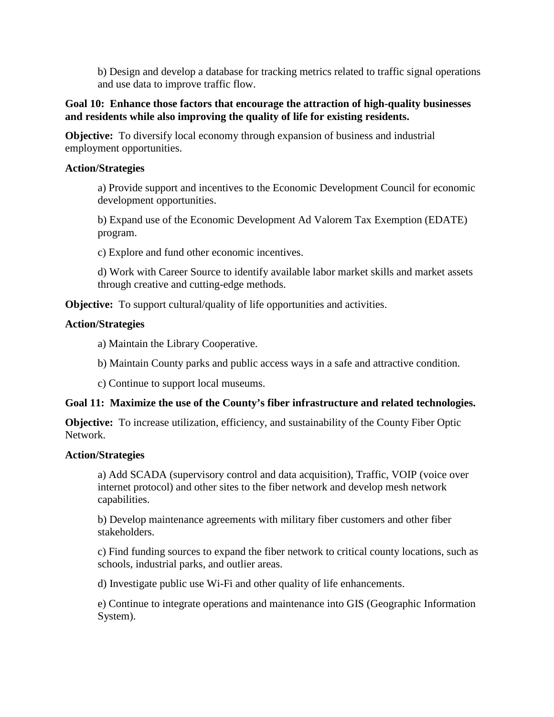and use data to improve traffic flow. b) Design and develop a database for tracking metrics related to traffic signal operations

### **Goal 10: Enhance those factors that encourage the attraction of high-quality businesses and residents while also improving the quality of life for existing residents.**

 **Objective:** To diversify local economy through expansion of business and industrial employment opportunities.

## **Action/Strategies**

a) Provide support and incentives to the Economic Development Council for economic development opportunities.

b) Expand use of the Economic Development Ad Valorem Tax Exemption (EDATE) program.

c) Explore and fund other economic incentives.

d) Work with Career Source to identify available labor market skills and market assets through creative and cutting-edge methods.

**Objective:** To support cultural/quality of life opportunities and activities.

### **Action/Strategies**

a) Maintain the Library Cooperative.

b) Maintain County parks and public access ways in a safe and attractive condition.

c) Continue to support local museums.

## **Goal 11: Maximize the use of the County's fiber infrastructure and related technologies.**

 **Objective:** To increase utilization, efficiency, and sustainability of the County Fiber Optic Network.

### **Action/Strategies**

 a) Add SCADA (supervisory control and data acquisition), Traffic, VOIP (voice over internet protocol) and other sites to the fiber network and develop mesh network capabilities.

b) Develop maintenance agreements with military fiber customers and other fiber stakeholders.

c) Find funding sources to expand the fiber network to critical county locations, such as schools, industrial parks, and outlier areas.

d) Investigate public use Wi-Fi and other quality of life enhancements.

e) Continue to integrate operations and maintenance into GIS (Geographic Information System).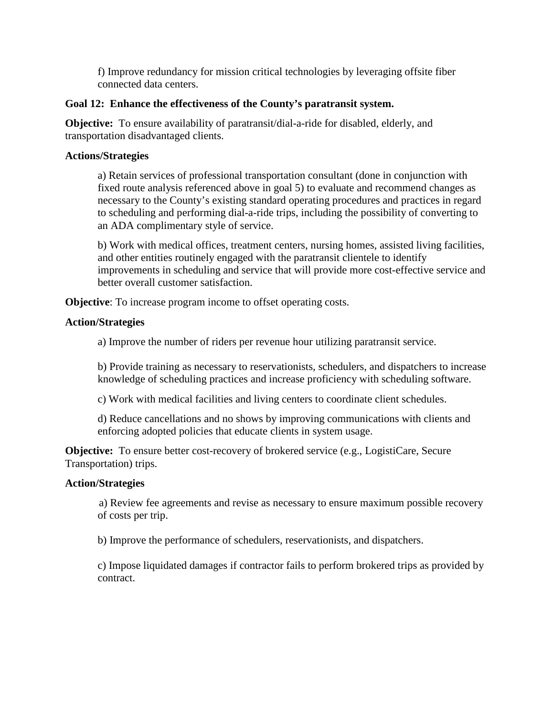f) Improve redundancy for mission critical technologies by leveraging offsite fiber connected data centers.

## **Goal 12: Enhance the effectiveness of the County's paratransit system.**

**Objective:** To ensure availability of paratransit/dial-a-ride for disabled, elderly, and transportation disadvantaged clients.

### **Actions/Strategies**

a) Retain services of professional transportation consultant (done in conjunction with fixed route analysis referenced above in goal 5) to evaluate and recommend changes as necessary to the County's existing standard operating procedures and practices in regard to scheduling and performing dial-a-ride trips, including the possibility of converting to an ADA complimentary style of service.

b) Work with medical offices, treatment centers, nursing homes, assisted living facilities, and other entities routinely engaged with the paratransit clientele to identify improvements in scheduling and service that will provide more cost-effective service and better overall customer satisfaction.

**Objective**: To increase program income to offset operating costs.

### **Action/Strategies**

a) Improve the number of riders per revenue hour utilizing paratransit service.

b) Provide training as necessary to reservationists, schedulers, and dispatchers to increase knowledge of scheduling practices and increase proficiency with scheduling software.

c) Work with medical facilities and living centers to coordinate client schedules.

 d) Reduce cancellations and no shows by improving communications with clients and enforcing adopted policies that educate clients in system usage.

**Objective:** To ensure better cost-recovery of brokered service (e.g., LogistiCare, Secure Transportation) trips.

### **Action/Strategies**

a) Review fee agreements and revise as necessary to ensure maximum possible recovery of costs per trip.

b) Improve the performance of schedulers, reservationists, and dispatchers.

 c) Impose liquidated damages if contractor fails to perform brokered trips as provided by contract.